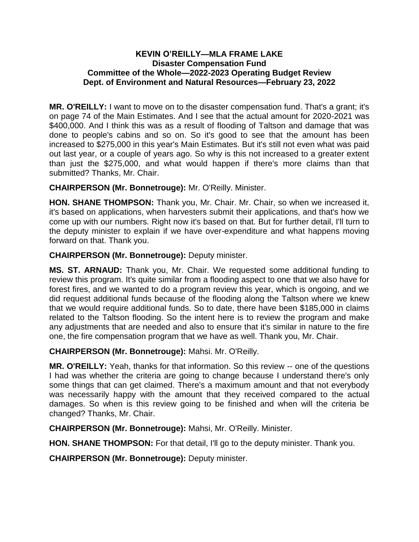## **KEVIN O'REILLY—MLA FRAME LAKE Disaster Compensation Fund Committee of the Whole—2022-2023 Operating Budget Review Dept. of Environment and Natural Resources—February 23, 2022**

**MR. O'REILLY:** I want to move on to the disaster compensation fund. That's a grant; it's on page 74 of the Main Estimates. And I see that the actual amount for 2020-2021 was \$400,000. And I think this was as a result of flooding of Taltson and damage that was done to people's cabins and so on. So it's good to see that the amount has been increased to \$275,000 in this year's Main Estimates. But it's still not even what was paid out last year, or a couple of years ago. So why is this not increased to a greater extent than just the \$275,000, and what would happen if there's more claims than that submitted? Thanks, Mr. Chair.

**CHAIRPERSON (Mr. Bonnetrouge):** Mr. O'Reilly. Minister.

**HON. SHANE THOMPSON:** Thank you, Mr. Chair. Mr. Chair, so when we increased it, it's based on applications, when harvesters submit their applications, and that's how we come up with our numbers. Right now it's based on that. But for further detail, I'll turn to the deputy minister to explain if we have over-expenditure and what happens moving forward on that. Thank you.

**CHAIRPERSON (Mr. Bonnetrouge):** Deputy minister.

**MS. ST. ARNAUD:** Thank you, Mr. Chair. We requested some additional funding to review this program. It's quite similar from a flooding aspect to one that we also have for forest fires, and we wanted to do a program review this year, which is ongoing, and we did request additional funds because of the flooding along the Taltson where we knew that we would require additional funds. So to date, there have been \$185,000 in claims related to the Taltson flooding. So the intent here is to review the program and make any adjustments that are needed and also to ensure that it's similar in nature to the fire one, the fire compensation program that we have as well. Thank you, Mr. Chair.

**CHAIRPERSON (Mr. Bonnetrouge):** Mahsi. Mr. O'Reilly.

**MR. O'REILLY:** Yeah, thanks for that information. So this review -- one of the questions I had was whether the criteria are going to change because I understand there's only some things that can get claimed. There's a maximum amount and that not everybody was necessarily happy with the amount that they received compared to the actual damages. So when is this review going to be finished and when will the criteria be changed? Thanks, Mr. Chair.

**CHAIRPERSON (Mr. Bonnetrouge):** Mahsi, Mr. O'Reilly. Minister.

**HON. SHANE THOMPSON:** For that detail, I'll go to the deputy minister. Thank you.

**CHAIRPERSON (Mr. Bonnetrouge):** Deputy minister.